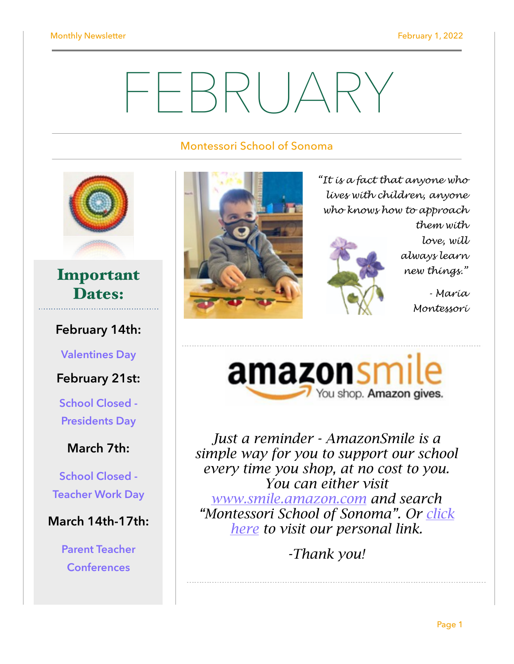# FEBRUARY

#### Montessori School of Sonoma



Important Dates:

### **February 14th:**

**Valentines Day** 

### **February 21st:**

**School Closed - Presidents Day** 

### **March 7th:**

**School Closed - Teacher Work Day** 

### **March 14th-17th:**

**Parent Teacher Conferences**



*"It is a fact that anyone who lives with children, anyone who knows how to approach* 



*them with love, will always learn new things."* 

> *- Maria Montessori*

amazonsm You shop. Amazon gives.

*Just a reminder - AmazonSmile is a simple way for you to support our school every time you shop, at no cost to you. You can either visit [www.smile.amazon.com](http://www.smile.amazon.com) and search "Mo[ntessori School of Sonoma". Or click](https://smile.amazon.com/gp/chpf/homepage/ref=smi_chpf_redirect?ie=UTF8&ein=942174042&ref_=smi_ext_ch_942174042_cl)  here to visit our personal link.* 

*-Thank you!*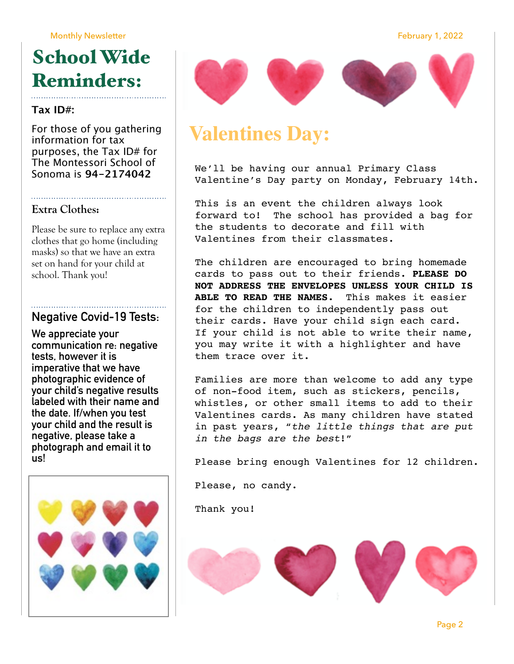Monthly Newsletter February 1, 2022



#### **Tax ID#:**

For those of you gathering information for tax purposes, the Tax ID# for The Montessori School of Sonoma is **94-2174042**

#### **Extra Clothes:**

Please be sure to replace any extra clothes that go home (including masks) so that we have an extra set on hand for your child at school. Thank you!

#### **Negative Covid-19 Tests:**

**We appreciate your communication re: negative tests, however it is imperative that we have photographic evidence of your child's negative results labeled with their name and the date. If/when you test your child and the result is negative, please take a photograph and email it to us!** 





### **Valentines Day:**

We'll be having our annual Primary Class Valentine's Day party on Monday, February 14th.

This is an event the children always look forward to! The school has provided a bag for the students to decorate and fill with Valentines from their classmates.

The children are encouraged to bring homemade cards to pass out to their friends. **PLEASE DO NOT ADDRESS THE ENVELOPES UNLESS YOUR CHILD IS ABLE TO READ THE NAMES.** This makes it easier for the children to independently pass out their cards. Have your child sign each card. If your child is not able to write their name, you may write it with a highlighter and have them trace over it.

Families are more than welcome to add any type of non-food item, such as stickers, pencils, whistles, or other small items to add to their Valentines cards. As many children have stated in past years, "*the little things that are put in the bags are the best*!"

Please bring enough Valentines for 12 children.

Please, no candy.

Thank you!

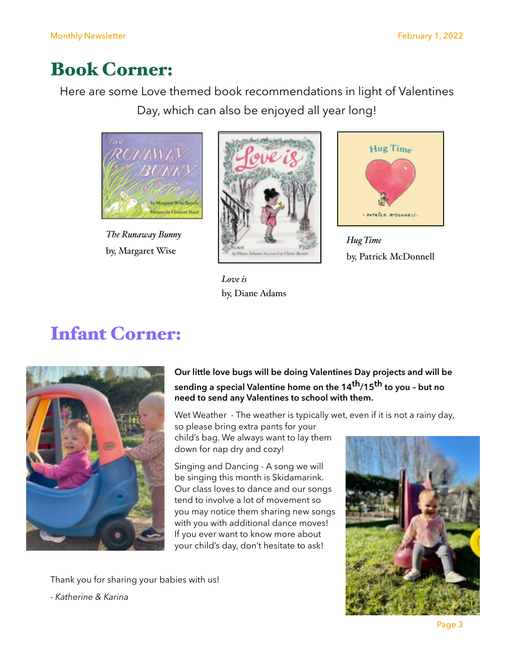### Book Corner:

Here are some Love themed book recommendations in light of Valentines Day, which can also be enjoyed all year long!



*The Runaway Bunny* by, Margaret Wise



*Love is* by, Diane Adams



*Hug Time* by, Patrick McDonnell

### Infant Corner:



#### **Our little love bugs will be doing Valentines Day projects and will be sending a special Valentine home on the 14th/15th to you – but no need to send any Valentines to school with them.**

Wet Weather - The weather is typically wet, even if it is not a rainy day, so please bring extra pants for your

child's bag. We always want to lay them down for nap dry and cozy!

Singing and Dancing - A song we will be singing this month is Skidamarink. Our class loves to dance and our songs tend to involve a lot of movement so you may notice them sharing new songs with you with additional dance moves! If you ever want to know more about your child's day, don't hesitate to ask!



Thank you for sharing your babies with us!

*- Katherine & Karina*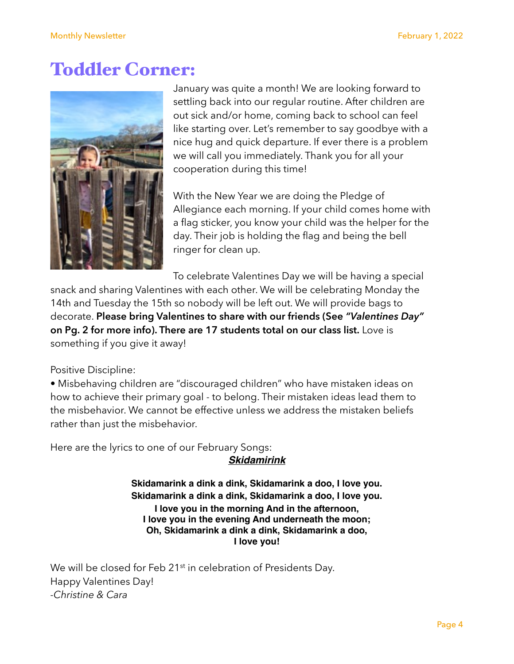### Toddler Corner:



January was quite a month! We are looking forward to settling back into our regular routine. After children are out sick and/or home, coming back to school can feel like starting over. Let's remember to say goodbye with a nice hug and quick departure. If ever there is a problem we will call you immediately. Thank you for all your cooperation during this time!

With the New Year we are doing the Pledge of Allegiance each morning. If your child comes home with a flag sticker, you know your child was the helper for the day. Their job is holding the flag and being the bell ringer for clean up.

To celebrate Valentines Day we will be having a special

snack and sharing Valentines with each other. We will be celebrating Monday the 14th and Tuesday the 15th so nobody will be left out. We will provide bags to decorate. **Please bring Valentines to share with our friends (See** *"Valentines Day"* **on Pg. 2 for more info). There are 17 students total on our class list.** Love is something if you give it away!

Positive Discipline:

• Misbehaving children are "discouraged children" who have mistaken ideas on how to achieve their primary goal - to belong. Their mistaken ideas lead them to the misbehavior. We cannot be effective unless we address the mistaken beliefs rather than just the misbehavior.

Here are the lyrics to one of our February Songs:

#### *Skidamirink*

**Skidamarink a dink a dink, Skidamarink a doo, I love you. Skidamarink a dink a dink, Skidamarink a doo, I love you. I love you in the morning And in the afternoon, I love you in the evening And underneath the moon; Oh, Skidamarink a dink a dink, Skidamarink a doo, I love you!** 

We will be closed for Feb 21<sup>st</sup> in celebration of Presidents Day. Happy Valentines Day! *-Christine & Cara*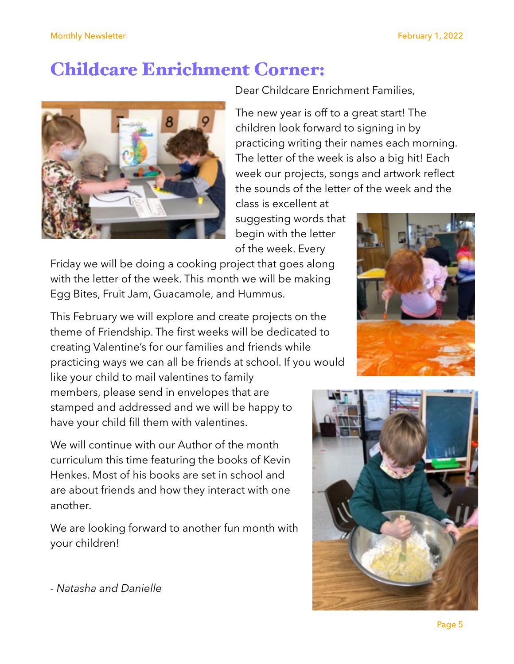### Childcare Enrichment Corner:



Dear Childcare Enrichment Families,

The new year is off to a great start! The children look forward to signing in by practicing writing their names each morning. The letter of the week is also a big hit! Each week our projects, songs and artwork reflect the sounds of the letter of the week and the

class is excellent at suggesting words that begin with the letter of the week. Every

Friday we will be doing a cooking project that goes along with the letter of the week. This month we will be making Egg Bites, Fruit Jam, Guacamole, and Hummus.

This February we will explore and create projects on the theme of Friendship. The first weeks will be dedicated to creating Valentine's for our families and friends while practicing ways we can all be friends at school. If you would like your child to mail valentines to family

members, please send in envelopes that are stamped and addressed and we will be happy to have your child fill them with valentines.

We will continue with our Author of the month curriculum this time featuring the books of Kevin Henkes. Most of his books are set in school and are about friends and how they interact with one another.

We are looking forward to another fun month with your children!





*- Natasha and Danielle*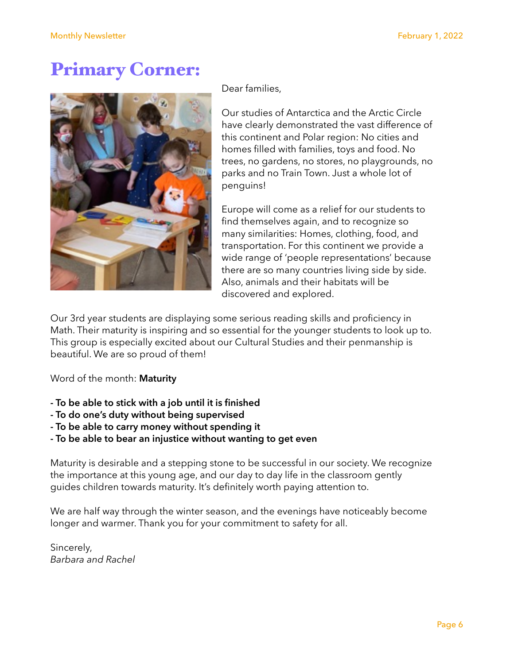### Primary Corner:



Dear families,

Our studies of Antarctica and the Arctic Circle have clearly demonstrated the vast difference of this continent and Polar region: No cities and homes filled with families, toys and food. No trees, no gardens, no stores, no playgrounds, no parks and no Train Town. Just a whole lot of penguins!

Europe will come as a relief for our students to find themselves again, and to recognize so many similarities: Homes, clothing, food, and transportation. For this continent we provide a wide range of 'people representations' because there are so many countries living side by side. Also, animals and their habitats will be discovered and explored.

Our 3rd year students are displaying some serious reading skills and proficiency in Math. Their maturity is inspiring and so essential for the younger students to look up to. This group is especially excited about our Cultural Studies and their penmanship is beautiful. We are so proud of them!

Word of the month: **Maturity**

- **To be able to stick with a job until it is finished**
- **To do one's duty without being supervised**
- **To be able to carry money without spending it**
- **To be able to bear an injustice without wanting to get even**

Maturity is desirable and a stepping stone to be successful in our society. We recognize the importance at this young age, and our day to day life in the classroom gently guides children towards maturity. It's definitely worth paying attention to.

We are half way through the winter season, and the evenings have noticeably become longer and warmer. Thank you for your commitment to safety for all.

Sincerely, *Barbara and Rachel*